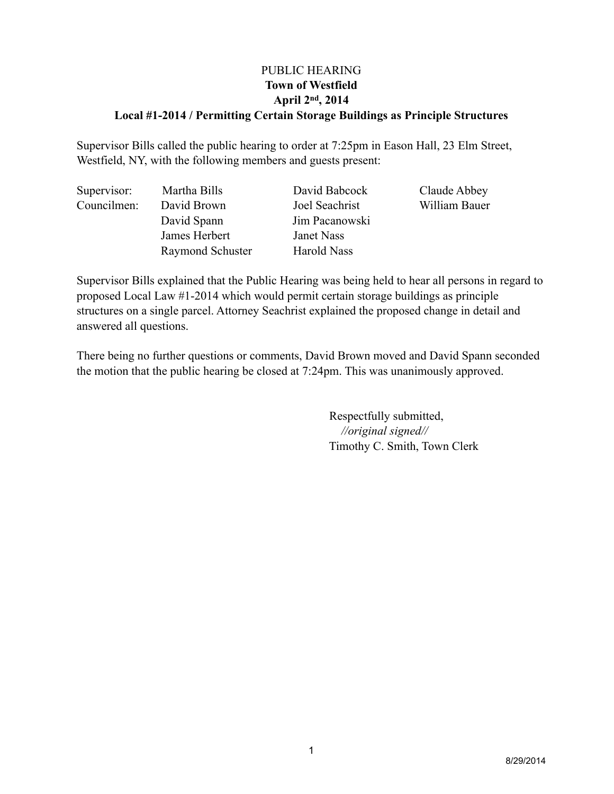### PUBLIC HEARING **Town of Westfield April 2nd, 2014 Local #1-2014 / Permitting Certain Storage Buildings as Principle Structures**

Supervisor Bills called the public hearing to order at 7:25pm in Eason Hall, 23 Elm Street, Westfield, NY, with the following members and guests present:

| Supervisor: | Martha Bills     | David Babcock  | Claude Abbey  |
|-------------|------------------|----------------|---------------|
| Councilmen: | David Brown      | Joel Seachrist | William Bauer |
|             | David Spann      | Jim Pacanowski |               |
|             | James Herbert    | Janet Nass     |               |
|             | Raymond Schuster | Harold Nass    |               |

Supervisor Bills explained that the Public Hearing was being held to hear all persons in regard to proposed Local Law #1-2014 which would permit certain storage buildings as principle structures on a single parcel. Attorney Seachrist explained the proposed change in detail and answered all questions.

There being no further questions or comments, David Brown moved and David Spann seconded the motion that the public hearing be closed at 7:24pm. This was unanimously approved.

> Respectfully submitted, *//original signed//* Timothy C. Smith, Town Clerk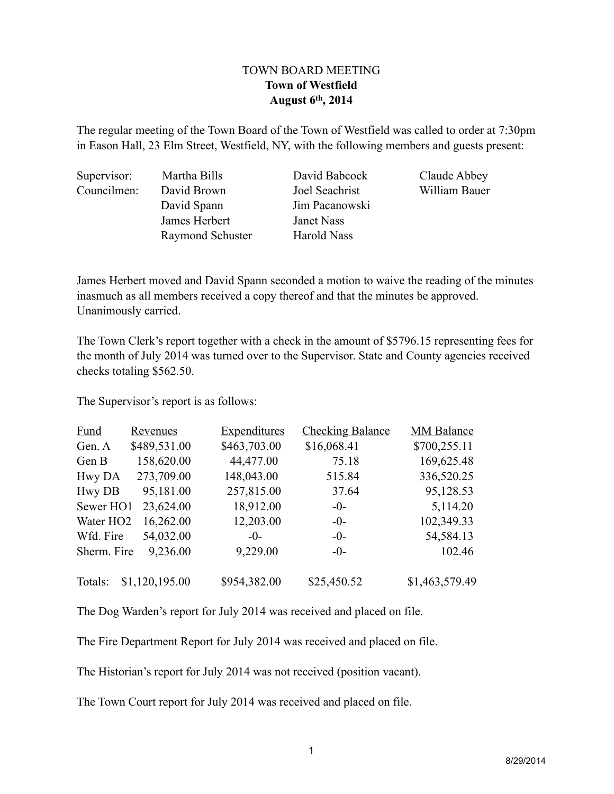### TOWN BOARD MEETING **Town of Westfield August 6th, 2014**

The regular meeting of the Town Board of the Town of Westfield was called to order at 7:30pm in Eason Hall, 23 Elm Street, Westfield, NY, with the following members and guests present:

Supervisor: Martha Bills David Babcock Claude Abbey Councilmen: David Brown Joel Seachrist William Bauer

David Spann Jim Pacanowski James Herbert Janet Nass Raymond Schuster Harold Nass

James Herbert moved and David Spann seconded a motion to waive the reading of the minutes inasmuch as all members received a copy thereof and that the minutes be approved. Unanimously carried.

The Town Clerk's report together with a check in the amount of \$5796.15 representing fees for the month of July 2014 was turned over to the Supervisor. State and County agencies received checks totaling \$562.50.

The Supervisor's report is as follows:

| <b>Fund</b>           | Revenues       | <b>Expenditures</b> | <b>Checking Balance</b> | <b>MM Balance</b> |
|-----------------------|----------------|---------------------|-------------------------|-------------------|
| Gen. A                | \$489,531.00   | \$463,703.00        | \$16,068.41             | \$700,255.11      |
| Gen B                 | 158,620.00     | 44,477.00           | 75.18                   | 169,625.48        |
| Hwy DA                | 273,709.00     | 148,043.00          | 515.84                  | 336,520.25        |
| <b>Hwy DB</b>         | 95,181.00      | 257,815.00          | 37.64                   | 95,128.53         |
| Sewer HO1             | 23,624.00      | 18,912.00           | $-0-$                   | 5,114.20          |
| Water HO <sub>2</sub> | 16,262.00      | 12,203.00           | $-0-$                   | 102,349.33        |
| Wfd. Fire             | 54,032.00      | $-0-$               | $-0-$                   | 54,584.13         |
| Sherm. Fire           | 9,236.00       | 9,229.00            | $-0-$                   | 102.46            |
| Totals:               | \$1,120,195.00 | \$954,382.00        | \$25,450.52             | \$1,463,579.49    |

The Dog Warden's report for July 2014 was received and placed on file.

The Fire Department Report for July 2014 was received and placed on file.

The Historian's report for July 2014 was not received (position vacant).

The Town Court report for July 2014 was received and placed on file.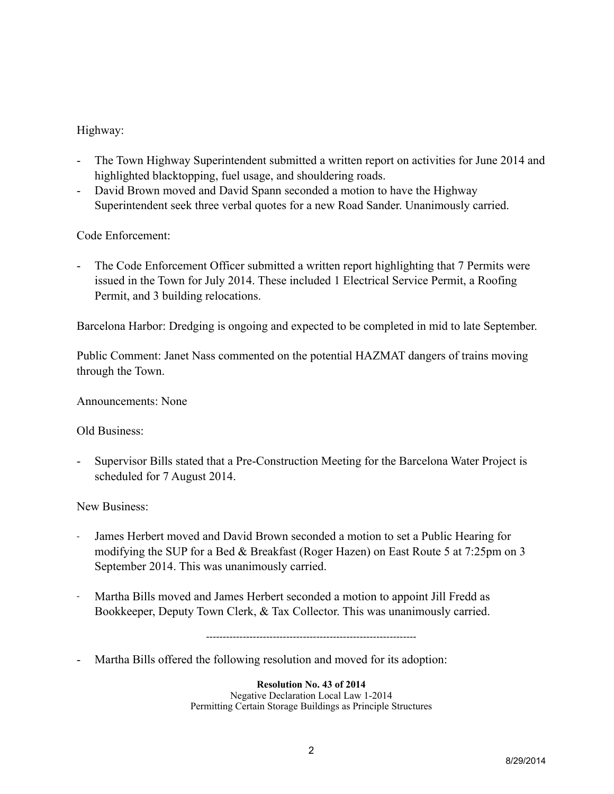# Highway:

- The Town Highway Superintendent submitted a written report on activities for June 2014 and highlighted blacktopping, fuel usage, and shouldering roads.
- David Brown moved and David Spann seconded a motion to have the Highway Superintendent seek three verbal quotes for a new Road Sander. Unanimously carried.

# Code Enforcement:

- The Code Enforcement Officer submitted a written report highlighting that 7 Permits were issued in the Town for July 2014. These included 1 Electrical Service Permit, a Roofing Permit, and 3 building relocations.

Barcelona Harbor: Dredging is ongoing and expected to be completed in mid to late September.

Public Comment: Janet Nass commented on the potential HAZMAT dangers of trains moving through the Town.

Announcements: None

# Old Business:

- Supervisor Bills stated that a Pre-Construction Meeting for the Barcelona Water Project is scheduled for 7 August 2014.

New Business:

- James Herbert moved and David Brown seconded a motion to set a Public Hearing for modifying the SUP for a Bed & Breakfast (Roger Hazen) on East Route 5 at 7:25pm on 3 September 2014. This was unanimously carried.
- Martha Bills moved and James Herbert seconded a motion to appoint Jill Fredd as Bookkeeper, Deputy Town Clerk, & Tax Collector. This was unanimously carried.

---------------------------------------------------------------

- Martha Bills offered the following resolution and moved for its adoption:

**Resolution No. 43 of 2014** Negative Declaration Local Law 1-2014 Permitting Certain Storage Buildings as Principle Structures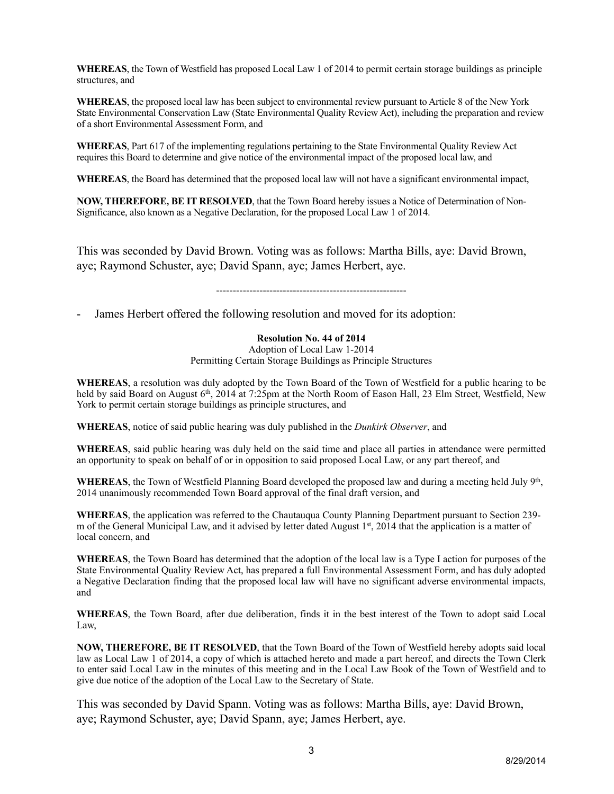**WHEREAS**, the Town of Westfield has proposed Local Law 1 of 2014 to permit certain storage buildings as principle structures, and

**WHEREAS**, the proposed local law has been subject to environmental review pursuant to Article 8 of the New York State Environmental Conservation Law (State Environmental Quality Review Act), including the preparation and review of a short Environmental Assessment Form, and

**WHEREAS**, Part 617 of the implementing regulations pertaining to the State Environmental Quality Review Act requires this Board to determine and give notice of the environmental impact of the proposed local law, and

**WHEREAS**, the Board has determined that the proposed local law will not have a significant environmental impact,

**NOW, THEREFORE, BE IT RESOLVED**, that the Town Board hereby issues a Notice of Determination of Non-Significance, also known as a Negative Declaration, for the proposed Local Law 1 of 2014.

This was seconded by David Brown. Voting was as follows: Martha Bills, aye: David Brown, aye; Raymond Schuster, aye; David Spann, aye; James Herbert, aye.

---------------------------------------------------------

James Herbert offered the following resolution and moved for its adoption:

#### **Resolution No. 44 of 2014**

Adoption of Local Law 1-2014 Permitting Certain Storage Buildings as Principle Structures

**WHEREAS**, a resolution was duly adopted by the Town Board of the Town of Westfield for a public hearing to be held by said Board on August 6<sup>th</sup>, 2014 at 7:25pm at the North Room of Eason Hall, 23 Elm Street, Westfield, New York to permit certain storage buildings as principle structures, and

**WHEREAS**, notice of said public hearing was duly published in the *Dunkirk Observer*, and

**WHEREAS**, said public hearing was duly held on the said time and place all parties in attendance were permitted an opportunity to speak on behalf of or in opposition to said proposed Local Law, or any part thereof, and

**WHEREAS**, the Town of Westfield Planning Board developed the proposed law and during a meeting held July 9<sup>th</sup>, 2014 unanimously recommended Town Board approval of the final draft version, and

**WHEREAS**, the application was referred to the Chautauqua County Planning Department pursuant to Section 239 m of the General Municipal Law, and it advised by letter dated August 1st, 2014 that the application is a matter of local concern, and

**WHEREAS**, the Town Board has determined that the adoption of the local law is a Type I action for purposes of the State Environmental Quality Review Act, has prepared a full Environmental Assessment Form, and has duly adopted a Negative Declaration finding that the proposed local law will have no significant adverse environmental impacts, and

**WHEREAS**, the Town Board, after due deliberation, finds it in the best interest of the Town to adopt said Local Law,

**NOW, THEREFORE, BE IT RESOLVED**, that the Town Board of the Town of Westfield hereby adopts said local law as Local Law 1 of 2014, a copy of which is attached hereto and made a part hereof, and directs the Town Clerk to enter said Local Law in the minutes of this meeting and in the Local Law Book of the Town of Westfield and to give due notice of the adoption of the Local Law to the Secretary of State.

This was seconded by David Spann. Voting was as follows: Martha Bills, aye: David Brown, aye; Raymond Schuster, aye; David Spann, aye; James Herbert, aye.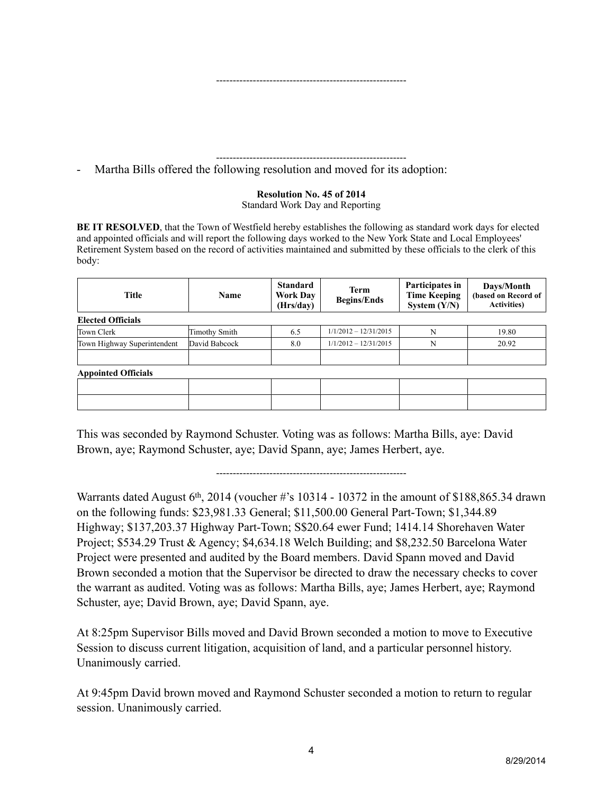#### ---------------------------------------------------------

---------------------------------------------------------

- Martha Bills offered the following resolution and moved for its adoption:

#### **Resolution No. 45 of 2014** Standard Work Day and Reporting

**BE IT RESOLVED**, that the Town of Westfield hereby establishes the following as standard work days for elected and appointed officials and will report the following days worked to the New York State and Local Employees' Retirement System based on the record of activities maintained and submitted by these officials to the clerk of this body:

| <b>Title</b>                | <b>Name</b>          | <b>Standard</b><br><b>Work Day</b><br>(Hrs/day) | <b>Term</b><br><b>Begins/Ends</b> | Participates in<br><b>Time Keeping</b><br>System $(Y/N)$ | Days/Month<br>(based on Record of<br><b>Activities</b> ) |  |  |  |
|-----------------------------|----------------------|-------------------------------------------------|-----------------------------------|----------------------------------------------------------|----------------------------------------------------------|--|--|--|
| <b>Elected Officials</b>    |                      |                                                 |                                   |                                                          |                                                          |  |  |  |
| Town Clerk                  | <b>Timothy Smith</b> | 6.5                                             | $1/1/2012 - 12/31/2015$           | N                                                        | 19.80                                                    |  |  |  |
| Town Highway Superintendent | David Babcock        | 8.0                                             | $1/1/2012 - 12/31/2015$           | N                                                        | 20.92                                                    |  |  |  |
|                             |                      |                                                 |                                   |                                                          |                                                          |  |  |  |
| <b>Appointed Officials</b>  |                      |                                                 |                                   |                                                          |                                                          |  |  |  |
|                             |                      |                                                 |                                   |                                                          |                                                          |  |  |  |
|                             |                      |                                                 |                                   |                                                          |                                                          |  |  |  |
|                             |                      |                                                 |                                   |                                                          |                                                          |  |  |  |

This was seconded by Raymond Schuster. Voting was as follows: Martha Bills, aye: David Brown, aye; Raymond Schuster, aye; David Spann, aye; James Herbert, aye.

---------------------------------------------------------

Warrants dated August  $6<sup>th</sup>$ , 2014 (voucher #'s 10314 - 10372 in the amount of \$188,865.34 drawn on the following funds: \$23,981.33 General; \$11,500.00 General Part-Town; \$1,344.89 Highway; \$137,203.37 Highway Part-Town; S\$20.64 ewer Fund; 1414.14 Shorehaven Water Project; \$534.29 Trust & Agency; \$4,634.18 Welch Building; and \$8,232.50 Barcelona Water Project were presented and audited by the Board members. David Spann moved and David Brown seconded a motion that the Supervisor be directed to draw the necessary checks to cover the warrant as audited. Voting was as follows: Martha Bills, aye; James Herbert, aye; Raymond Schuster, aye; David Brown, aye; David Spann, aye.

At 8:25pm Supervisor Bills moved and David Brown seconded a motion to move to Executive Session to discuss current litigation, acquisition of land, and a particular personnel history. Unanimously carried.

At 9:45pm David brown moved and Raymond Schuster seconded a motion to return to regular session. Unanimously carried.